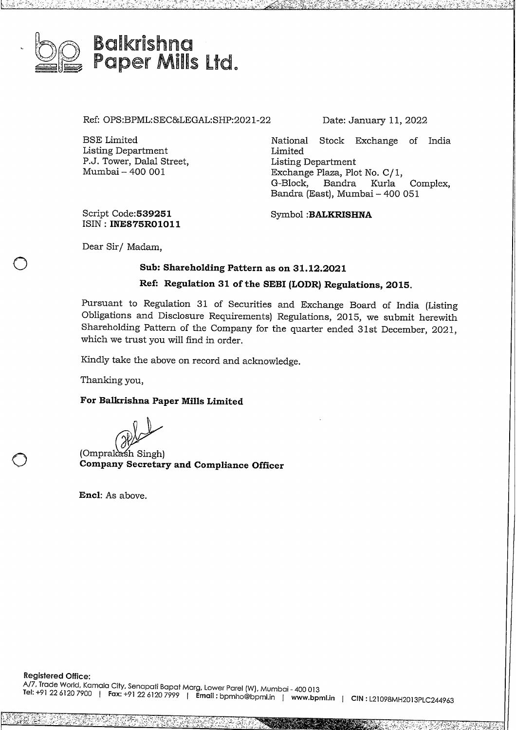

Ref: OPS:BPML:SEC&LEGAL:SHP:2021-22 Date: January 11, 2022

BSE Limited Listing Department P.J. Tower, Dalal Street, Mumbai - 400 001

National Stock Exchange of India Limited Listing Department Exchange Plaza, Plot No. C/1, Bandra Kurla Complex, Bandra (East), Mumbai- <sup>400</sup> 051

Script **Code:539251** ISIN: **INE875R01011**

Symbol **:BALKRISHNA**

Dear Sir/ Madam,

 $\bigcirc$ 

 $\bigcirc$ 

# **Sub: Shareholding Pattern as on 31.12.2021**

# **Ref: Regulation 31 of the SEBI (LODR) Regulations, 2015.**

Pursuant to Regulation 31 of Securities and Exchange Board of India (Listing Obligations and Disclosure Requirements) Regulations, 2015, we submit herewith Shareholding Pattern of the Company for the quarter ended 31st December, 2021, which we trust you will find in order.

Kindly take the above on record and acknowledge.

Thanking you,

### **For Balkrishna Paper Mills Limited**

(Omprakash Singh)<br> **Company Secretary and Compliance Officer** 

**Encl:** As above.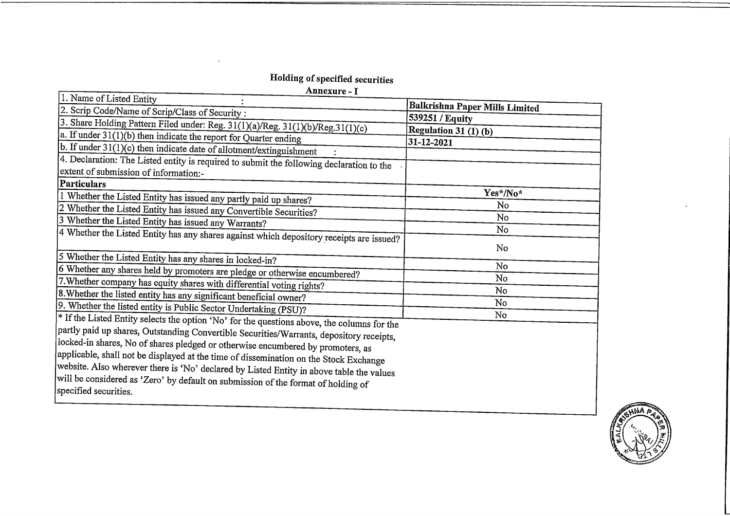# Holding of specified securities

Annexure - I

| Annexure - I                                                                                               |                                |
|------------------------------------------------------------------------------------------------------------|--------------------------------|
| 1. Name of Listed Entity                                                                                   | Balkrishna Paper Mills Limited |
| 2. Scrip Code/Name of Scrip/Class of Security :                                                            | 539251 / Equity                |
| 3. Share Holding Pattern Filed under: Reg. 31(1)(a)/Reg. 31(1)(b)/Reg.31(1)(c)                             |                                |
| $ a$ . If under $31(1)(b)$ then indicate the report for Quarter ending                                     | Regulation 31 (1) (b)          |
| b. If under 31(1)(c) then indicate date of allotment/extinguishment                                        | $31 - 12 - 2021$               |
| 4. Declaration: The Listed entity is required to submit the following declaration to the                   |                                |
| extent of submission of information:-                                                                      |                                |
| <b>Particulars</b>                                                                                         |                                |
| $\sqrt{1}$ Whether the Listed Entity has issued any partly paid up shares?                                 | Yes*/No*                       |
| 2 Whether the Listed Entity has issued any Convertible Securities?                                         | N <sub>o</sub>                 |
| 3 Whether the Listed Entity has issued any Warrants?                                                       | No                             |
| 4 Whether the Listed Entity has any shares against which depository receipts are issued?                   | No                             |
|                                                                                                            | No                             |
| 5 Whether the Listed Entity has any shares in locked-in?                                                   |                                |
| 6 Whether any shares held by promoters are pledge or otherwise encumbered?                                 | No                             |
| 7. Whether company has equity shares with differential voting rights?                                      | No                             |
| 8. Whether the listed entity has any significant beneficial owner?                                         | No                             |
| 9. Whether the listed entity is Public Sector Undertaking (PSU)?                                           | No                             |
| <sup>*</sup> If the Listed Entity selects the option 'No' for the questions above, the columns for the     | No                             |
| partly paid up shares, Outstanding Convertible Securities/Warrants, depository receipts,                   |                                |
| locked-in shares, No of shares pledged or otherwise encumbered by promoters, as                            |                                |
| applicable, shall not be displayed at the time of dissemination on the Stock Exchange                      |                                |
|                                                                                                            |                                |
| website. Also wherever there is 'No' declared by Listed Entity in above table the values                   |                                |
| will be considered as 'Zero' by default on submission of the format of holding of<br>specified securities. |                                |
|                                                                                                            |                                |

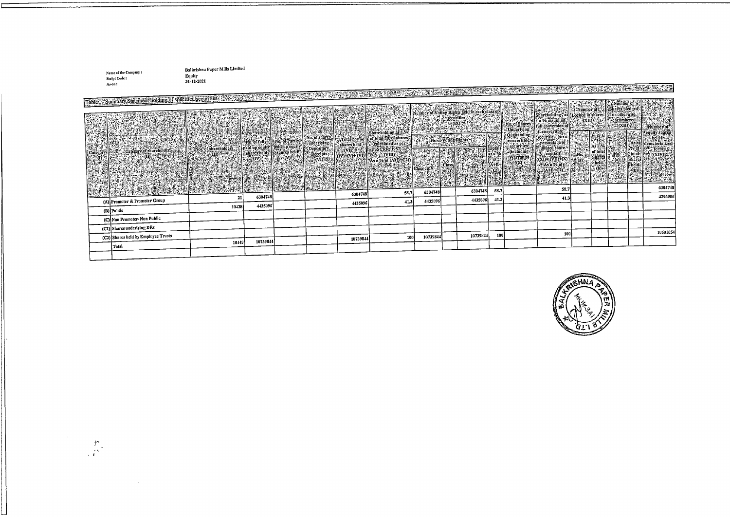**Name oftheCompany \$ ScrlrtCodc: Ason t**

 $\frac{\partial f}{\partial x}$ 

L

**B:dl,rishna P;111crMills Limited Equity** 31-12-2021

| Table 1, Summary Statement holding of specified securities: 1233-2020 2021 12:33<br>6304748<br>21<br>41.3<br>41.3<br>4435096<br>(A) Promoter & Promoter Group<br>4435096<br>41.3<br>4435096<br>4435096<br>10428<br>(B) Public<br>(C) Non Promoter-Non Public<br>(C1) Shares underlying DRs<br>10601654<br>100<br>100<br>10739844<br>(C2) Shares held by Employee Trusts<br>10739844<br>100<br>10739844<br>10739844<br>10449<br>Total | As on: | . |  |  |  |  |  |  |  |  |
|--------------------------------------------------------------------------------------------------------------------------------------------------------------------------------------------------------------------------------------------------------------------------------------------------------------------------------------------------------------------------------------------------------------------------------------|--------|---|--|--|--|--|--|--|--|--|
|                                                                                                                                                                                                                                                                                                                                                                                                                                      |        |   |  |  |  |  |  |  |  |  |
|                                                                                                                                                                                                                                                                                                                                                                                                                                      |        |   |  |  |  |  |  |  |  |  |
|                                                                                                                                                                                                                                                                                                                                                                                                                                      |        |   |  |  |  |  |  |  |  |  |
|                                                                                                                                                                                                                                                                                                                                                                                                                                      |        |   |  |  |  |  |  |  |  |  |
|                                                                                                                                                                                                                                                                                                                                                                                                                                      |        |   |  |  |  |  |  |  |  |  |
|                                                                                                                                                                                                                                                                                                                                                                                                                                      |        |   |  |  |  |  |  |  |  |  |
|                                                                                                                                                                                                                                                                                                                                                                                                                                      |        |   |  |  |  |  |  |  |  |  |
|                                                                                                                                                                                                                                                                                                                                                                                                                                      |        |   |  |  |  |  |  |  |  |  |
|                                                                                                                                                                                                                                                                                                                                                                                                                                      |        |   |  |  |  |  |  |  |  |  |
|                                                                                                                                                                                                                                                                                                                                                                                                                                      |        |   |  |  |  |  |  |  |  |  |
|                                                                                                                                                                                                                                                                                                                                                                                                                                      |        |   |  |  |  |  |  |  |  |  |
|                                                                                                                                                                                                                                                                                                                                                                                                                                      |        |   |  |  |  |  |  |  |  |  |
|                                                                                                                                                                                                                                                                                                                                                                                                                                      |        |   |  |  |  |  |  |  |  |  |
|                                                                                                                                                                                                                                                                                                                                                                                                                                      |        |   |  |  |  |  |  |  |  |  |
|                                                                                                                                                                                                                                                                                                                                                                                                                                      |        |   |  |  |  |  |  |  |  |  |
|                                                                                                                                                                                                                                                                                                                                                                                                                                      |        |   |  |  |  |  |  |  |  |  |
|                                                                                                                                                                                                                                                                                                                                                                                                                                      |        |   |  |  |  |  |  |  |  |  |
|                                                                                                                                                                                                                                                                                                                                                                                                                                      |        |   |  |  |  |  |  |  |  |  |
|                                                                                                                                                                                                                                                                                                                                                                                                                                      |        |   |  |  |  |  |  |  |  |  |
|                                                                                                                                                                                                                                                                                                                                                                                                                                      |        |   |  |  |  |  |  |  |  |  |
|                                                                                                                                                                                                                                                                                                                                                                                                                                      |        |   |  |  |  |  |  |  |  |  |
|                                                                                                                                                                                                                                                                                                                                                                                                                                      |        |   |  |  |  |  |  |  |  |  |

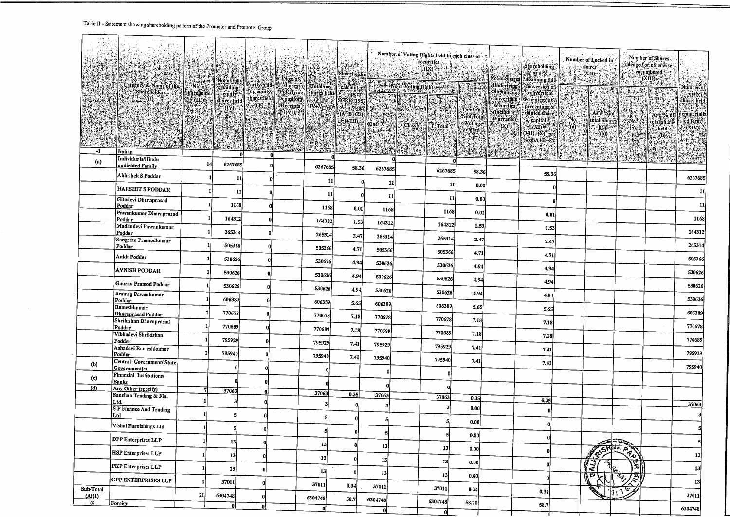#### Table II - Statement showing shareholding pattern of the Promoter and Promoter Groun

 $\mathbf{r}$ 

|                |                                              |    |               |              |                |       |              |         |       |                                                                  |                                                                                                                                                     |                               |                    | Number of Shares              |                                       |
|----------------|----------------------------------------------|----|---------------|--------------|----------------|-------|--------------|---------|-------|------------------------------------------------------------------|-----------------------------------------------------------------------------------------------------------------------------------------------------|-------------------------------|--------------------|-------------------------------|---------------------------------------|
|                |                                              |    |               |              |                |       |              |         |       | Shareholding,                                                    |                                                                                                                                                     | Number of Locked in<br>shares |                    | pledged or otherwise          |                                       |
|                |                                              |    |               |              |                |       |              |         |       | $\frac{1}{2}$ as a %.<br>No. of Shares   assuming fully          |                                                                                                                                                     | (XII)                         |                    | encumbered : 21<br>(XIII)     |                                       |
|                |                                              |    |               |              |                |       |              |         |       | conversion of                                                    |                                                                                                                                                     | 深感                            |                    | State Pale                    | Number of<br>equity                   |
|                |                                              |    |               |              |                |       |              |         |       | Outstanding <b>Convertible</b> :<br>convertible securities (as a |                                                                                                                                                     |                               | 海湖                 | RESER                         |                                       |
|                |                                              |    |               |              |                |       |              |         |       | percentage of                                                    |                                                                                                                                                     |                               |                    | 127                           | shares held.<br>$\sim$ in $\approx$   |
|                |                                              |    |               |              |                |       |              |         |       | <b>Sdiluted share</b>                                            | 2:34<br>capital) : al 20 No.                                                                                                                        |                               |                    | As a % of the state As a % of | dematerializ<br>ed form <sup>31</sup> |
|                |                                              |    |               |              |                |       |              |         |       |                                                                  | $\frac{1}{2}$ (xi) $\frac{1}{2}$ (xi) $\frac{1}{2}$ (xi) $\frac{1}{2}$                                                                              |                               |                    |                               | (XIV).                                |
|                |                                              |    |               |              |                |       |              |         |       | $(WID+(X)$ as a<br>% of A+B+C2   adjusted as                     | 3586                                                                                                                                                |                               |                    |                               |                                       |
| -1             |                                              |    |               |              |                |       |              |         |       | NG NG                                                            | $\begin{array}{l} \left[ \frac{1}{\sqrt{2}} \right]_{\mathcal{M}} = \frac{1}{\sqrt{2}} \left[ \frac{1}{\sqrt{2}} \right]_{\mathcal{M}} \end{array}$ |                               |                    |                               |                                       |
| (a)            |                                              |    |               |              |                |       |              |         |       | $\langle \Pi \rangle$                                            |                                                                                                                                                     |                               |                    |                               |                                       |
|                | undivided Family                             |    | 14<br>6267685 |              | 6267685        | 58.36 | 6267685      | 6267685 | 58.36 |                                                                  |                                                                                                                                                     |                               |                    |                               |                                       |
|                | Abhishek S Poddar                            |    | 11            |              | 11 I           | n     | 11           |         |       | 58.36                                                            |                                                                                                                                                     |                               |                    |                               | 6267685                               |
|                | <b>HARSHIT S PODDAR</b>                      |    | 11            |              | 11             |       |              | 11      | 0.00  |                                                                  |                                                                                                                                                     |                               |                    |                               | 11                                    |
|                | Gitadevi Dharaprasad                         |    | 1168          |              |                |       | 11           | 11      | 0.00  |                                                                  |                                                                                                                                                     |                               |                    |                               | 11                                    |
|                | Poddar<br>Pawankumar Dharaprasad             |    |               |              | 1168           | 0.01  | 1168         | 1168    | 0.01  | 0.01                                                             |                                                                                                                                                     |                               |                    |                               |                                       |
|                | Poddar<br>Madhudevi Pawankumar               |    | 164312        |              | 164312         | 1.53  | 164312       | 164312  | 1.53  |                                                                  |                                                                                                                                                     |                               |                    |                               | 1168                                  |
|                | Poddar                                       |    | 265314        |              | 265314         | 2.47  | 265314       | 265314  |       | 1.53                                                             |                                                                                                                                                     |                               |                    |                               | 164312                                |
|                | Sangeeta Pramodkumar<br>Poddar               |    | 505366        |              | 505366         | 4.71  | 505366       |         | 2.47  | 2.47                                                             |                                                                                                                                                     |                               |                    |                               | 265314                                |
|                | Ankit Poddar                                 |    | 530626        |              | 530626         |       |              | 505366  | 4.71  | 4.71                                                             |                                                                                                                                                     |                               |                    |                               | 505366                                |
|                | <b>AVNISH PODDAR</b>                         |    | 530626        |              |                | 4,94  | 530626       | 530626  | 4.94  | 4.94                                                             |                                                                                                                                                     |                               |                    |                               | 530626                                |
|                | <b>Gaurav Pramod Poddar</b>                  |    | 530626        |              | 530626         | 4.94  | 530626       | 530626  | 4.94  | 4.94                                                             |                                                                                                                                                     |                               |                    |                               | 530626                                |
|                | Anurag Pawankumar                            |    |               |              | 530626         | 4.94  | 530626       | 530626  | 4.94  | 4.94                                                             |                                                                                                                                                     |                               |                    |                               |                                       |
|                | Poddar<br>Rameshkumar                        |    | 606389        |              | 606389         | 5.65  | 606389       | 606389  | 5.65  | 5.65                                                             |                                                                                                                                                     |                               |                    |                               | 530626                                |
|                | Dharaprasad Poddar<br>Shrikishan Dharaprasad |    | 770678        |              | 770678         | 7.18  | 770678       | 770678  | 7.18  |                                                                  |                                                                                                                                                     |                               |                    |                               | 606389                                |
|                | Poddar                                       |    | 770689        |              | 770689         | 7.18  | 770689       |         |       | 7.18                                                             |                                                                                                                                                     |                               |                    |                               | 770678                                |
|                | Vibhadevi Shrikishan<br>Poddar               |    | 795929        |              | 795929         | 7.41  | 795929       | 770689  | 7.18  | 7.18                                                             |                                                                                                                                                     |                               |                    |                               | 770689                                |
|                | Ashadevi Rameshkumar<br>Poddar               |    | 795940        |              | 795940         |       |              | 795929  | 7.41  | 7.41                                                             |                                                                                                                                                     |                               |                    |                               | 795929                                |
| (b)            | Central Government/ State                    |    |               |              |                | 7.41  | 795940       | 795940  | 7.41  | 7.41                                                             |                                                                                                                                                     |                               |                    |                               | 795940                                |
| (c)            | Government(s)<br>Financial Institutions/     |    |               |              |                |       | $\mathbf{a}$ |         |       |                                                                  |                                                                                                                                                     |                               |                    |                               |                                       |
| (d)            | <b>Banks</b><br>Any Other (specify)          |    |               |              |                |       |              |         |       |                                                                  |                                                                                                                                                     |                               |                    |                               |                                       |
|                | Sanchna Trading & Fin.                       | 7  | 37063         | O            | 37063          | 0.35  | 37063        | 37063   | 0.35  |                                                                  |                                                                                                                                                     |                               |                    |                               |                                       |
|                | Ltd.<br><b>S P Finance And Trading</b>       |    |               |              |                |       |              |         | 0.00  | 0.35                                                             |                                                                                                                                                     |                               |                    |                               | 37063                                 |
|                | Ltd                                          |    |               |              |                |       |              | 5       |       |                                                                  |                                                                                                                                                     |                               |                    |                               |                                       |
|                | Vishal Furnishings Ltd                       |    | 5             | $\bf{0}$     |                |       |              |         | 0.00  |                                                                  |                                                                                                                                                     |                               |                    |                               |                                       |
|                | DPP Enterprises LLP                          |    | 13            | $\mathbf{0}$ | 13             |       |              |         | 0.00  |                                                                  |                                                                                                                                                     |                               |                    |                               |                                       |
|                | HSP Enterprises LLP                          |    | 13            |              | 13             |       | 13           | 13      | 0.00  |                                                                  |                                                                                                                                                     |                               | <b>REFINAL PRO</b> |                               | 13                                    |
|                | PKP Enterprises LLP                          |    | 13            |              |                |       | 13           | 13      | 0.00  |                                                                  |                                                                                                                                                     | ਟ                             | 闅<br>Ġ,            |                               | 13                                    |
|                | <b>GPP ENTERPRISES LLP</b>                   |    | 37011         |              | 13             |       | 13           | 13      | 0.00  |                                                                  |                                                                                                                                                     | 伝                             | স্দৃ<br>烈          |                               | 13                                    |
| Sub-Total      |                                              | 21 | 6304748       |              | 37011          | 0.34  | 37011        | 37011   | 0.34  | 0.34                                                             |                                                                                                                                                     |                               | 'h⊥า               |                               | 37011                                 |
| (A)(1)<br>$-2$ | Foreign                                      |    | 0.            | 0.           | 6304748<br>-nl | 58.7  | 6304748      | 6304748 | 58.70 | 58.7                                                             |                                                                                                                                                     |                               |                    |                               |                                       |
|                |                                              |    |               |              |                |       | $\mathbf{0}$ | 0ľ      |       |                                                                  |                                                                                                                                                     |                               |                    |                               | 6304748                               |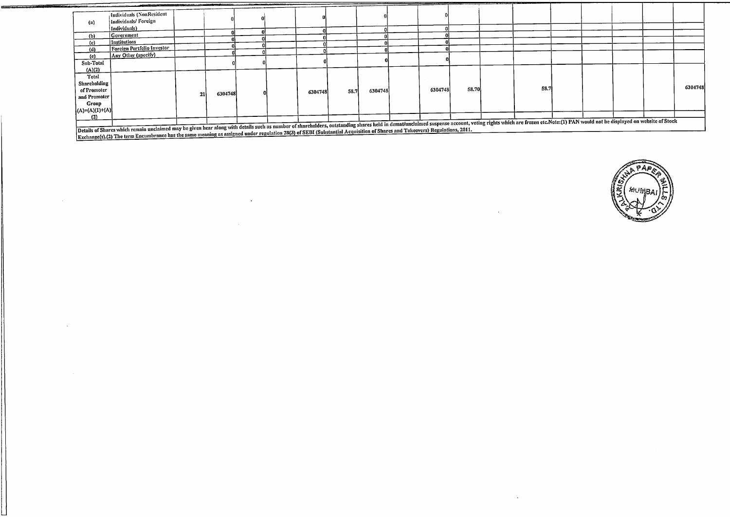|                             |                                                                                                                                                                                                                                |                 |         |  |         |      |         |         | ------- |      |  |  |         |
|-----------------------------|--------------------------------------------------------------------------------------------------------------------------------------------------------------------------------------------------------------------------------|-----------------|---------|--|---------|------|---------|---------|---------|------|--|--|---------|
|                             | Individuals (NonResident                                                                                                                                                                                                       |                 |         |  |         |      |         |         |         |      |  |  |         |
| $\left( \mathbf{a} \right)$ | Individuals/Foreign                                                                                                                                                                                                            |                 |         |  |         |      |         |         |         |      |  |  |         |
|                             | Individuals)                                                                                                                                                                                                                   |                 |         |  |         |      |         |         |         |      |  |  |         |
| (b)                         | Government                                                                                                                                                                                                                     |                 |         |  |         |      |         |         |         |      |  |  |         |
| (c)                         | Institutions                                                                                                                                                                                                                   |                 |         |  |         |      |         |         |         |      |  |  |         |
| (d)                         | Foreign Portfolio Investor                                                                                                                                                                                                     |                 |         |  |         |      |         |         |         |      |  |  |         |
| (e)                         | Any Other (specify)                                                                                                                                                                                                            |                 |         |  |         |      |         |         |         |      |  |  |         |
| Sub-Total                   |                                                                                                                                                                                                                                |                 |         |  |         |      |         |         |         |      |  |  |         |
| (A)(2)                      |                                                                                                                                                                                                                                |                 |         |  |         |      |         |         |         |      |  |  |         |
| Total                       |                                                                                                                                                                                                                                |                 |         |  |         |      |         |         |         |      |  |  |         |
| Shareholding                |                                                                                                                                                                                                                                |                 |         |  |         |      |         |         |         |      |  |  |         |
| of Promoter                 |                                                                                                                                                                                                                                |                 |         |  |         |      | 6304748 | 6304748 | 58.70   | 58.7 |  |  | 6304748 |
| and Promoter                |                                                                                                                                                                                                                                | 21 <sub>1</sub> | 6304748 |  | 6304748 | 58.7 |         |         |         |      |  |  |         |
| Group                       |                                                                                                                                                                                                                                |                 |         |  |         |      |         |         |         |      |  |  |         |
| $ (A)=(A)(1)+(A) $          |                                                                                                                                                                                                                                |                 |         |  |         |      |         |         |         |      |  |  |         |
| (2)                         |                                                                                                                                                                                                                                |                 |         |  |         |      |         |         |         |      |  |  |         |
|                             | The state of Shapes which seconds unclaimed may be given hear along with details such as number of shareholders, outstanding shares held in demat/unclaimed suspense account, voting rights which are frozen etc. Note: (1) PA |                 |         |  |         |      |         |         |         |      |  |  |         |
|                             |                                                                                                                                                                                                                                |                 |         |  |         |      |         |         |         |      |  |  |         |

Details of Shares which remain unculated may be given used. The second material and the Shares of SEBI (Substantial Acquisition of Shares and Takeovers) Regulations, 2011.<br>Task agreed (2) The term Facumbrance has the same

<u>e arte de controla de la controla de la c</u>

 $\sim$ 

مستعدد



 $\mathcal{A}$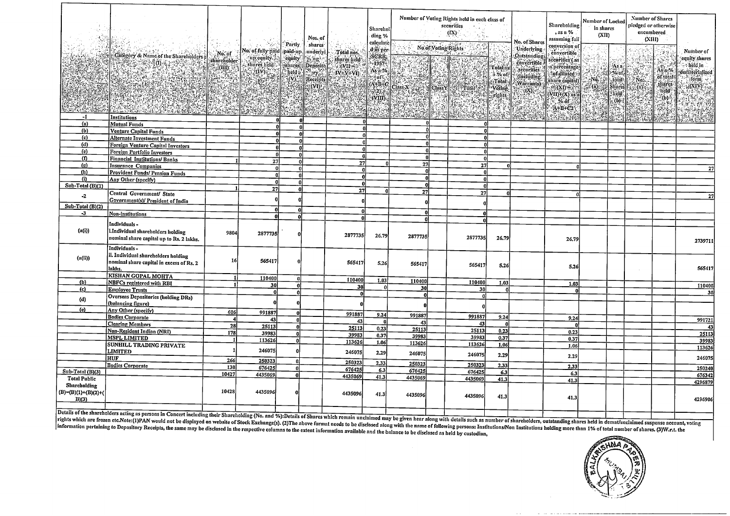|                                             |                                                                                                |                                                                      |                                                                             |                         | Nos. of                         |                 | Sharehol<br>ding %<br>calculate |              |                     | Number of Voting Rights held in each class of<br>securities<br>$(\mathbf{I} \mathbf{X})$ | No. of Shares                      | Shareholding<br>, as a %<br>assuming full                      | Number of Locked<br>in shares<br>(XII)                                                                |                                        | Number of Shares<br>pledged or otherwise<br>encumbered<br>(XIII) |                                      |                                                   |                                                           |
|---------------------------------------------|------------------------------------------------------------------------------------------------|----------------------------------------------------------------------|-----------------------------------------------------------------------------|-------------------------|---------------------------------|-----------------|---------------------------------|--------------|---------------------|------------------------------------------------------------------------------------------|------------------------------------|----------------------------------------------------------------|-------------------------------------------------------------------------------------------------------|----------------------------------------|------------------------------------------------------------------|--------------------------------------|---------------------------------------------------|-----------------------------------------------------------|
|                                             | Category & Name of the Shareholders                                                            | $N$ o. of<br>slinreholder<br>$\langle \overline{\text{III}} \rangle$ | a dan salah 1998.<br>No. of fully paid paid-up.<br>up equity<br>shares held | Partly                  | shares <sup>.</sup><br>underlyi | Total nos.      | d as per-                       |              | No of Voting Rights |                                                                                          | Total as                           | Underlying<br><b>Outstanding</b><br>convertible                | conversion of<br>convertible;<br>securities ( as<br>a percentage!                                     |                                        | Asa                                                              |                                      |                                                   | Number of<br>equity shares<br>. held in                   |
|                                             |                                                                                                |                                                                      |                                                                             |                         |                                 |                 |                                 |              |                     |                                                                                          | <b>n</b> % of<br>: Total<br>Voting | securities<br>(including:<br>Warrants)<br>$\pi(\mathbf{X})$ or | dofidilitied by<br>share capital)<br>$\mathcal{N}(X) = \mathbb{E}[X]$<br>$(VII)+(X)$ as $\frac{1}{2}$ | Nō.<br>$\mathbb{Z}^n$ (a) $\mathbb{Z}$ | :%of<br>, tötal!<br>Stinres<br>theld?                            | $^{\circ}$ No.<br>$\mathbb{Q}^{(n)}$ | As a %<br>of total<br>shares<br>held <sup>*</sup> | dematerialized<br>ilorm .<br>$\langle \text{NIN} \rangle$ |
|                                             |                                                                                                |                                                                      | 2000/201                                                                    |                         |                                 |                 |                                 |              |                     |                                                                                          | .rights                            |                                                                | $\sim$ 26 of $\sim$<br>$AA+B+C2$                                                                      |                                        | (b)<br>$\mathbb{R}^3$                                            |                                      | (b)<br>X                                          |                                                           |
| $-1$                                        | Institutions                                                                                   |                                                                      |                                                                             |                         |                                 |                 |                                 |              |                     |                                                                                          |                                    |                                                                |                                                                                                       |                                        |                                                                  |                                      |                                                   |                                                           |
| (a)                                         | <b>Mutual Funds</b>                                                                            |                                                                      | n                                                                           |                         |                                 |                 | 0l                              |              |                     | $\mathbf{r}$                                                                             |                                    |                                                                |                                                                                                       |                                        |                                                                  |                                      |                                                   |                                                           |
| (b)                                         | Venture Capital Funds                                                                          |                                                                      |                                                                             | $\mathbf{0}$            |                                 | n١              |                                 |              | Ωl                  | $\Omega$<br>$\mathbf{u}$                                                                 |                                    |                                                                |                                                                                                       |                                        |                                                                  |                                      |                                                   |                                                           |
| (c)<br>(d)                                  | <b>Alternate Investment Funds</b>                                                              |                                                                      |                                                                             | $\mathbf{0}$            |                                 |                 |                                 | $\mathbf{a}$ |                     | $\mathbf{0}$                                                                             |                                    |                                                                |                                                                                                       |                                        |                                                                  |                                      |                                                   |                                                           |
| (e)                                         | <b>Foreign Venture Capital Investors</b>                                                       |                                                                      |                                                                             | -ol                     |                                 |                 |                                 |              | 0                   | $\mathbf{0}$                                                                             |                                    |                                                                |                                                                                                       |                                        |                                                                  |                                      |                                                   |                                                           |
| (f)                                         | Foreign Portfolio Investors                                                                    |                                                                      |                                                                             | $\Omega$                |                                 | $\mathbf{a}$    |                                 |              |                     | - ol                                                                                     |                                    |                                                                |                                                                                                       |                                        |                                                                  |                                      |                                                   |                                                           |
| (g)                                         | Financial Institutions/Banks                                                                   |                                                                      | 27                                                                          | $\mathbf{0}$            |                                 | $\overline{27}$ | n                               | 27           |                     | 27                                                                                       |                                    |                                                                |                                                                                                       |                                        |                                                                  |                                      |                                                   |                                                           |
| (h)                                         | Insurance Companies                                                                            |                                                                      | ol                                                                          | ol                      |                                 | $\mathbf{r}$    |                                 | n            |                     | $\mathbf{0}$                                                                             |                                    |                                                                |                                                                                                       |                                        |                                                                  |                                      |                                                   | 27                                                        |
| (i)                                         | <b>Provident Funds/ Pension Funds</b>                                                          |                                                                      | n١                                                                          | $\overline{\mathbf{r}}$ |                                 | $\mathbf{0}$    |                                 |              | Λl                  | $\mathbf{0}$                                                                             |                                    |                                                                |                                                                                                       |                                        |                                                                  |                                      |                                                   |                                                           |
| Sub-Total (B)(1)                            | Any Other (specify)                                                                            |                                                                      | U                                                                           | $\Omega$                |                                 | $\mathbf{0}$    |                                 | Ωi           |                     | n                                                                                        |                                    |                                                                |                                                                                                       |                                        |                                                                  |                                      |                                                   |                                                           |
|                                             |                                                                                                |                                                                      | 27                                                                          |                         |                                 | 27              |                                 | 27           |                     | 27                                                                                       |                                    |                                                                |                                                                                                       |                                        |                                                                  |                                      |                                                   |                                                           |
| $\cdot$ 2                                   | Central Government/ State                                                                      |                                                                      |                                                                             |                         |                                 |                 |                                 |              |                     |                                                                                          |                                    |                                                                |                                                                                                       |                                        |                                                                  |                                      |                                                   | 27                                                        |
| Sub-Total (B)(2)                            | Government(s)/ President of India                                                              |                                                                      |                                                                             |                         |                                 |                 |                                 |              |                     |                                                                                          |                                    |                                                                |                                                                                                       |                                        |                                                                  |                                      |                                                   |                                                           |
| $-3$                                        |                                                                                                |                                                                      | n                                                                           | O                       |                                 | n               |                                 |              |                     | n                                                                                        |                                    |                                                                |                                                                                                       |                                        |                                                                  |                                      |                                                   |                                                           |
|                                             | Non-institutions                                                                               |                                                                      |                                                                             | Ωľ                      |                                 | O               |                                 | n۱           |                     | n.                                                                                       |                                    |                                                                |                                                                                                       |                                        |                                                                  |                                      |                                                   |                                                           |
| (n(i))                                      | Individuals -<br>i.Individual shareholders holding<br>nominal share capital up to Rs. 2 lakhs. | 9804                                                                 | 2877735                                                                     |                         |                                 | 2877735         | 26.79                           | 2877735      |                     | 2877735                                                                                  | 26.79                              |                                                                | 26.79                                                                                                 |                                        |                                                                  |                                      |                                                   |                                                           |
|                                             | Individuals-                                                                                   |                                                                      |                                                                             |                         |                                 |                 |                                 |              |                     |                                                                                          |                                    |                                                                |                                                                                                       |                                        |                                                                  |                                      |                                                   | 2739711                                                   |
| (a(ii))                                     | ii. Individual shareholders holding<br>nominal share capital in excess of Rs. 2<br>lakhs.      | 16                                                                   | 565417                                                                      |                         |                                 | 565417          | 5.26                            | 565417       |                     | 565417                                                                                   | 5.26                               |                                                                | 5.26                                                                                                  |                                        |                                                                  |                                      |                                                   | 565417                                                    |
|                                             | <b>KISHAN GOPAL MOHTA</b>                                                                      |                                                                      | 110400                                                                      | n.                      |                                 | 110400          | 1.03                            | 110400       |                     |                                                                                          |                                    |                                                                |                                                                                                       |                                        |                                                                  |                                      |                                                   |                                                           |
| (b)                                         | <b>NBFCs registered with RBI</b>                                                               |                                                                      | 30l                                                                         | <b>n</b>                |                                 | 30              | n.                              | 30           |                     | 110400                                                                                   | 1.03                               |                                                                | 1.03                                                                                                  |                                        |                                                                  |                                      |                                                   | 110400                                                    |
| (c)                                         | <b>Employee Trusts</b>                                                                         |                                                                      | $\mathbf{0}$                                                                | $\Omega$                |                                 | $\Omega$        |                                 | $\mathbf{r}$ |                     | 30                                                                                       | $\Omega$                           |                                                                |                                                                                                       |                                        |                                                                  |                                      |                                                   | 30                                                        |
| (d)                                         | <b>Overseas Depositories (holding DRs)</b><br>(balancing figure)                               |                                                                      |                                                                             |                         |                                 |                 |                                 |              |                     | O                                                                                        |                                    |                                                                |                                                                                                       |                                        |                                                                  |                                      |                                                   |                                                           |
| (e)                                         | Any Other (specify)                                                                            | 606                                                                  | 991887                                                                      | 0l                      |                                 |                 |                                 |              |                     |                                                                                          |                                    |                                                                |                                                                                                       |                                        |                                                                  |                                      |                                                   |                                                           |
|                                             | <b>Bodies Corporate</b>                                                                        | 4                                                                    | 43                                                                          | nl                      |                                 | 991887          | 9.24                            | 991887       |                     | 991887                                                                                   | 9.24                               |                                                                | 9.24                                                                                                  |                                        |                                                                  |                                      |                                                   | 991721                                                    |
|                                             | <b>Clearing Members</b>                                                                        | 28                                                                   | 25113                                                                       |                         |                                 | 43              |                                 | 43           |                     | 43                                                                                       |                                    |                                                                |                                                                                                       |                                        |                                                                  |                                      |                                                   | 43                                                        |
|                                             | Non-Resident Indian (NRI)                                                                      | 178                                                                  | 39983                                                                       |                         |                                 | 25113           | 0.23                            | 25113        |                     | 25113                                                                                    | 0.23                               |                                                                | 0.23                                                                                                  |                                        |                                                                  |                                      |                                                   | 25113                                                     |
|                                             | <b>MSPL LIMITED</b>                                                                            |                                                                      | 113626                                                                      | 0ľ                      |                                 | 39983           | 0.37                            | 39983        |                     | 39983                                                                                    | 0.37                               |                                                                | 0.37                                                                                                  |                                        |                                                                  |                                      |                                                   | 39983                                                     |
|                                             | <b>SUNHILL TRADING PRIVATE</b><br>LIMITED                                                      |                                                                      | 246075                                                                      |                         |                                 | 113626          | 1.06                            | 113626       |                     | 113626                                                                                   | 1.06                               |                                                                | 1.06                                                                                                  |                                        |                                                                  |                                      |                                                   | 113626                                                    |
|                                             | <b>HUF</b>                                                                                     | 266                                                                  | 250323                                                                      | -o1                     |                                 | 246075          | 2.29                            | 246075       |                     | 246075                                                                                   | 2.29                               |                                                                | 2.29                                                                                                  |                                        |                                                                  |                                      |                                                   | 246075                                                    |
|                                             | <b>Bodies Corporate</b>                                                                        | 130                                                                  | 676425                                                                      | O                       |                                 | 250323          | 2,33                            | 250323       |                     | 250323                                                                                   | 2,33                               |                                                                | 2.33                                                                                                  |                                        |                                                                  |                                      |                                                   | 250240                                                    |
| Sub-Total (B)(3)                            |                                                                                                | 10427                                                                | 4435069                                                                     |                         |                                 | 676425          | 6.3                             | 676425       |                     | 676425                                                                                   | 6.3                                |                                                                | 6,3                                                                                                   |                                        |                                                                  |                                      |                                                   | 676342                                                    |
| <b>Total Public</b>                         |                                                                                                |                                                                      |                                                                             |                         |                                 | 4435069         | 41.3                            | 4435069      |                     | 4435069                                                                                  | 41.3                               |                                                                | 41.3                                                                                                  |                                        |                                                                  |                                      |                                                   | 4296879                                                   |
| Sharcholding<br>(B)=(B)(1)+(B)(2)+(<br>B(3) |                                                                                                | 10428                                                                | 4435096                                                                     |                         |                                 | 4435096         | 41.3                            | 4435096      |                     | 4435096                                                                                  | 41.3                               |                                                                | 41.3                                                                                                  |                                        |                                                                  |                                      |                                                   | 4296906                                                   |
|                                             |                                                                                                |                                                                      |                                                                             |                         |                                 |                 |                                 |              |                     |                                                                                          |                                    |                                                                |                                                                                                       |                                        |                                                                  |                                      |                                                   |                                                           |

Details of the shareholders acting as persons in Concert including their Shareholding (No. and %):Details of Shares which remain unclaimed may be given hear along with details such as number of shareholders, outstanding sh rights which are frozen etc.Note:(1)PAN would not be displayed on website of Stock Exchange(s). (2)The above format needs to be discussed in the summer univ be given near along with details such as number of shareholders,

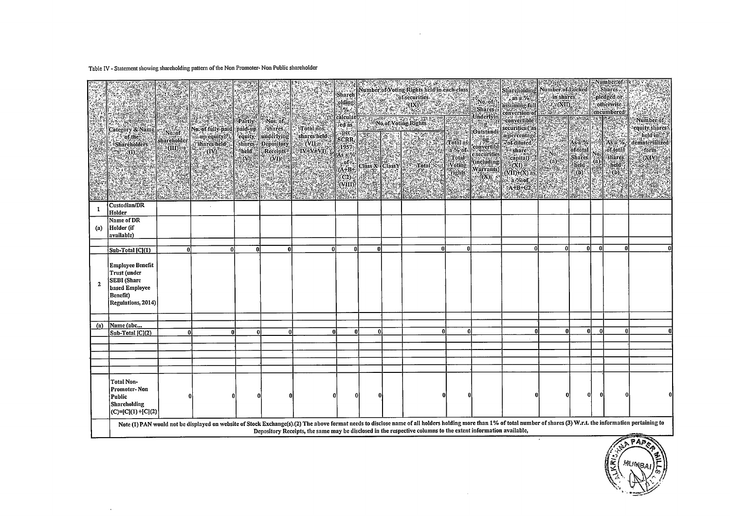Table IV - Statement showing shareholding pattern of the Non Promoter- Non Public shareholder

 $\alpha$ 

|              | Category & Name<br>of the<br><b>Sharcholders</b><br>$\mathbb{R}^{\text{\tiny{(1)}}}_+$                            | No.of<br>shareholder.<br>(III) | No. of fully paid paid-up<br>st up equity;<br><i><b>Shares held</b></i><br>"(IV) | Partly<br>equity.<br>shares<br>held<br>$\langle$ (V) | Nos: of<br><i>shares</i><br>underlying<br>Depository<br>Receipts<br>(VI) | Tótal nos<br>shares held<br>$\overline{\text{C}}$ $\overline{\text{C}}$<br>$IV + V + VI$ | Sharch<br>olding<br>$\mathbb{R}^{n}$<br>calculat<br>Ted as:<br>: per<br>SCRR.<br>1957<br>As al%<br>. af S<br>$(A+B+$<br>CO <sub>2</sub><br><b>CVIID:</b> | Class X <sup>-</sup> Class Y | Number of Voting Rights held in each class<br>of securities.<br>$\frac{\langle \mathbf{X} \rangle}{\langle \mathbf{X} \rangle}$<br>No.of Voting Rights<br>÷,<br><b>Total</b>                                                                                                                                                            | <b>Total as</b><br>a % of<br><b>Total</b><br><b>Voting</b><br>Tights'<br><b>TABLES</b> | No. of<br>Shares;<br>:Underlyin<br><b>!Outstandi</b><br>convertibl<br>e securities<br>(including<br>Warrants)<br>$(\mathbf{X})$<br>The Co | n gwysga<br>Shareholding Number of Locked<br>$\therefore$ as a $\%$<br>assuming full<br>conversion of<br>convertible<br>securities (as<br>a percentage<br><b>Pof</b> diluted<br>share a<br>capital)<br>$(XI) =$<br>$(NII)+(X)$ as<br>a %of<br>$A+B+C2$ | 20051.24<br>in shares<br>C. (NII)<br>2001 a 2005<br>No.<br>$\overline{a}$<br>14, 29, 15, 28 | As a %<br>ofitotal<br>Shares:<br>$\delta$ held $\delta$<br>$\omega$<br>elle : | Nó<br>(a) | ::Nümber:of<br>Shares.<br>pledged or:<br>otherwise.<br>encumbered!<br>Asia %<br><b>of</b> total<br>shares.<br>held<br>$(b)$ .<br>$36 - 36 + 36 + 36$ | $1.3 - 1.3$<br>Number of<br>equity, shares?<br>held in<br>dematerialized<br>form<br>(XIV)<br><b>All All Academy</b> |
|--------------|-------------------------------------------------------------------------------------------------------------------|--------------------------------|----------------------------------------------------------------------------------|------------------------------------------------------|--------------------------------------------------------------------------|------------------------------------------------------------------------------------------|----------------------------------------------------------------------------------------------------------------------------------------------------------|------------------------------|-----------------------------------------------------------------------------------------------------------------------------------------------------------------------------------------------------------------------------------------------------------------------------------------------------------------------------------------|----------------------------------------------------------------------------------------|-------------------------------------------------------------------------------------------------------------------------------------------|--------------------------------------------------------------------------------------------------------------------------------------------------------------------------------------------------------------------------------------------------------|---------------------------------------------------------------------------------------------|-------------------------------------------------------------------------------|-----------|------------------------------------------------------------------------------------------------------------------------------------------------------|---------------------------------------------------------------------------------------------------------------------|
| 1            | Custodian/DR<br>Holder                                                                                            |                                |                                                                                  |                                                      |                                                                          |                                                                                          |                                                                                                                                                          |                              |                                                                                                                                                                                                                                                                                                                                         |                                                                                        |                                                                                                                                           |                                                                                                                                                                                                                                                        |                                                                                             |                                                                               |           |                                                                                                                                                      |                                                                                                                     |
| (a)          | Name of DR<br>Holder (if<br>available)                                                                            |                                |                                                                                  |                                                      |                                                                          |                                                                                          |                                                                                                                                                          |                              |                                                                                                                                                                                                                                                                                                                                         |                                                                                        |                                                                                                                                           |                                                                                                                                                                                                                                                        |                                                                                             |                                                                               |           |                                                                                                                                                      |                                                                                                                     |
|              | Sub-Total [C](1)                                                                                                  | 0                              | Ω                                                                                |                                                      |                                                                          | U                                                                                        | $\Omega$                                                                                                                                                 | 0l                           | n                                                                                                                                                                                                                                                                                                                                       | 0                                                                                      |                                                                                                                                           | ß                                                                                                                                                                                                                                                      | $\Omega$                                                                                    | 0l                                                                            | -nl       | ß                                                                                                                                                    |                                                                                                                     |
| $\mathbf{2}$ | <b>Employee Benefit</b><br>Trust (under<br><b>SEBI</b> (Share<br>based Employee<br>Benefit)<br>Regulations, 2014) |                                |                                                                                  |                                                      |                                                                          |                                                                                          |                                                                                                                                                          |                              |                                                                                                                                                                                                                                                                                                                                         |                                                                                        |                                                                                                                                           |                                                                                                                                                                                                                                                        |                                                                                             |                                                                               |           |                                                                                                                                                      |                                                                                                                     |
|              | Name (abc                                                                                                         |                                |                                                                                  |                                                      |                                                                          |                                                                                          |                                                                                                                                                          |                              |                                                                                                                                                                                                                                                                                                                                         |                                                                                        |                                                                                                                                           |                                                                                                                                                                                                                                                        |                                                                                             |                                                                               |           |                                                                                                                                                      |                                                                                                                     |
| (a)          | Sub-Total [C](2)                                                                                                  | 0l                             | 0l                                                                               | 0                                                    | $\theta$                                                                 | $\Omega$                                                                                 | $\mathbf{0}$                                                                                                                                             | 0l                           | n                                                                                                                                                                                                                                                                                                                                       | $\Omega$                                                                               |                                                                                                                                           |                                                                                                                                                                                                                                                        | $\mathbf{0}$                                                                                | -ni                                                                           | n         | £                                                                                                                                                    |                                                                                                                     |
|              |                                                                                                                   |                                |                                                                                  |                                                      |                                                                          |                                                                                          |                                                                                                                                                          |                              |                                                                                                                                                                                                                                                                                                                                         |                                                                                        |                                                                                                                                           |                                                                                                                                                                                                                                                        |                                                                                             |                                                                               |           |                                                                                                                                                      |                                                                                                                     |
|              |                                                                                                                   |                                |                                                                                  |                                                      |                                                                          |                                                                                          |                                                                                                                                                          |                              |                                                                                                                                                                                                                                                                                                                                         |                                                                                        |                                                                                                                                           |                                                                                                                                                                                                                                                        |                                                                                             |                                                                               |           |                                                                                                                                                      |                                                                                                                     |
|              | <b>Total Non-</b><br>Promoter-Non<br>Public<br>Shareholding<br>$(C)= [C](1) + [C](2)$                             |                                |                                                                                  |                                                      |                                                                          |                                                                                          |                                                                                                                                                          |                              |                                                                                                                                                                                                                                                                                                                                         |                                                                                        |                                                                                                                                           |                                                                                                                                                                                                                                                        |                                                                                             | 0                                                                             | 0         |                                                                                                                                                      |                                                                                                                     |
|              |                                                                                                                   |                                |                                                                                  |                                                      |                                                                          |                                                                                          |                                                                                                                                                          |                              | Note (1) PAN would not be displayed on website of Stock Exchange(s).(2) The above format needs to disclose name of all holders holding more than 1% of total number of shares (3) W.r.t. the information pertaining to<br>Depository Receipts, the same may be disclosed in the respective columns to the extent information available, |                                                                                        |                                                                                                                                           |                                                                                                                                                                                                                                                        |                                                                                             |                                                                               |           | فليستعزز                                                                                                                                             |                                                                                                                     |

 $\sim$   $\sim$ 

 $\sim$